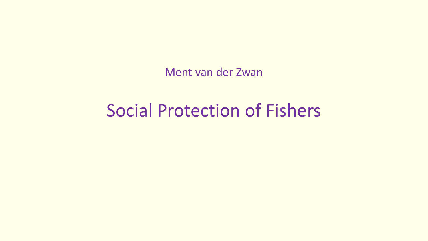Ment van der Zwan

# Social Protection of Fishers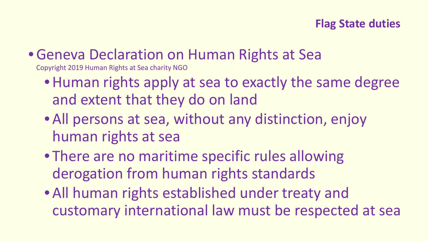#### **Flag State duties**

# •Geneva Declaration on Human Rights at Sea

Copyright 2019 Human Rights at Sea charity NGO

- Human rights apply at sea to exactly the same degree and extent that they do on land
- All persons at sea, without any distinction, enjoy human rights at sea
- There are no maritime specific rules allowing derogation from human rights standards
- All human rights established under treaty and customary international law must be respected at sea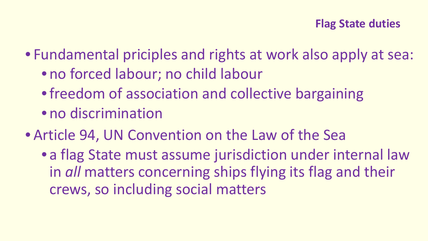#### **Flag State duties**

• Fundamental priciples and rights at work also apply at sea:

- no forced labour; no child labour
- freedom of association and collective bargaining
- no discrimination
- Article 94, UN Convention on the Law of the Sea
	- a flag State must assume jurisdiction under internal law in *all* matters concerning ships flying its flag and their crews, so including social matters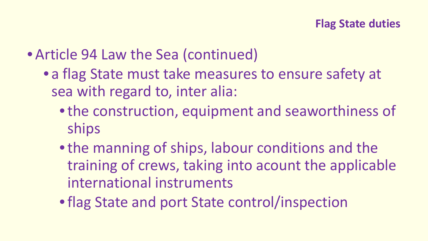- Article 94 Law the Sea (continued)
	- a flag State must take measures to ensure safety at sea with regard to, inter alia:
		- •the construction, equipment and seaworthiness of ships
		- •the manning of ships, labour conditions and the training of crews, taking into acount the applicable international instruments
		- •flag State and port State control/inspection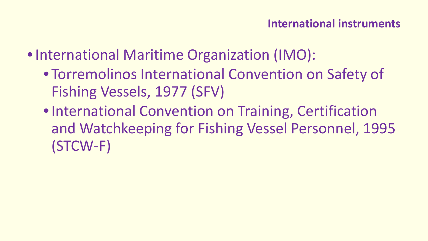- International Maritime Organization (IMO):
	- Torremolinos International Convention on Safety of Fishing Vessels, 1977 (SFV)
	- •International Convention on Training, Certification and Watchkeeping for Fishing Vessel Personnel, 1995 (STCW-F)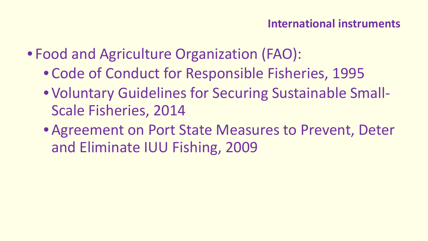- Food and Agriculture Organization (FAO):
	- Code of Conduct for Responsible Fisheries, 1995
	- Voluntary Guidelines for Securing Sustainable Small-Scale Fisheries, 2014
	- Agreement on Port State Measures to Prevent, Deter and Eliminate IUU Fishing, 2009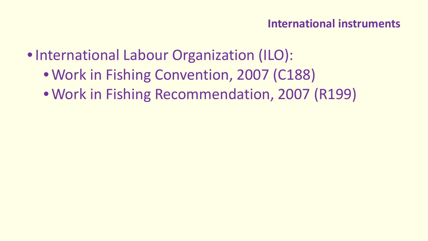- •International Labour Organization (ILO):
	- Work in Fishing Convention, 2007 (C188)
	- Work in Fishing Recommendation, 2007 (R199)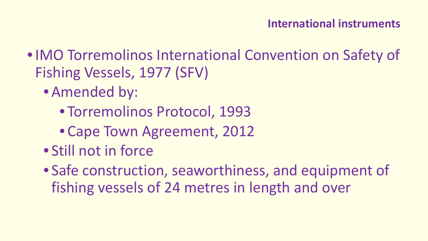- •IMO Torremolinos International Convention on Safety of Fishing Vessels, 1977 (SFV)
	- Amended by:
		- Torremolinos Protocol, 1993
		- Cape Town Agreement, 2012
	- Still not in force
	- Safe construction, seaworthiness, and equipment of fishing vessels of 24 metres in length and over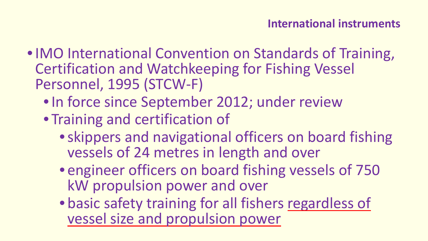- •IMO International Convention on Standards of Training, Certification and Watchkeeping for Fishing Vessel Personnel, 1995 (STCW-F)
	- In force since September 2012; under review
	- Training and certification of
		- •skippers and navigational officers on board fishing vessels of 24 metres in length and over
		- engineer officers on board fishing vessels of 750 kW propulsion power and over
		- basic safety training for all fishers regardless of vessel size and propulsion power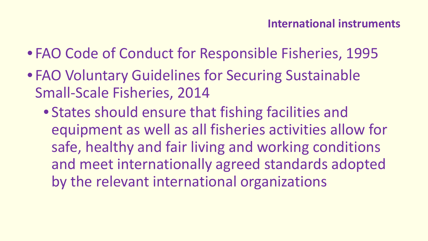- FAO Code of Conduct for Responsible Fisheries, 1995
- FAO Voluntary Guidelines for Securing Sustainable Small-Scale Fisheries, 2014
	- States should ensure that fishing facilities and equipment as well as all fisheries activities allow for safe, healthy and fair living and working conditions and meet internationally agreed standards adopted by the relevant international organizations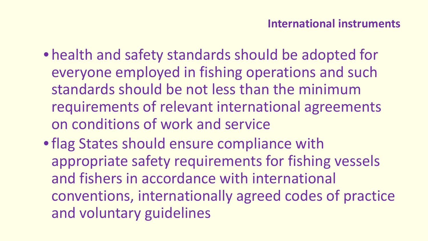- health and safety standards should be adopted for everyone employed in fishing operations and such standards should be not less than the minimum requirements of relevant international agreements on conditions of work and service
- •flag States should ensure compliance with appropriate safety requirements for fishing vessels and fishers in accordance with international conventions, internationally agreed codes of practice and voluntary guidelines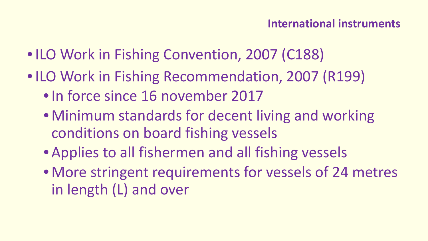- ILO Work in Fishing Convention, 2007 (C188)
- ILO Work in Fishing Recommendation, 2007 (R199)
	- In force since 16 november 2017
	- Minimum standards for decent living and working conditions on board fishing vessels
	- Applies to all fishermen and all fishing vessels
	- More stringent requirements for vessels of 24 metres in length (L) and over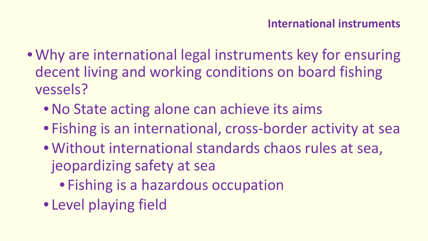- Why are international legal instruments key for ensuring decent living and working conditions on board fishing vessels?
	- No State acting alone can achieve its aims
	- Fishing is an international, cross-border activity at sea
	- Without international standards chaos rules at sea, jeopardizing safety at sea
		- Fishing is a hazardous occupation
	- Level playing field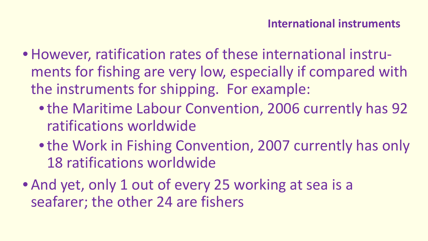- •However, ratification rates of these international instruments for fishing are very low, especially if compared with the instruments for shipping. For example:
	- •the Maritime Labour Convention, 2006 currently has 92 ratifications worldwide
	- the Work in Fishing Convention, 2007 currently has only 18 ratifications worldwide
- And yet, only 1 out of every 25 working at sea is a seafarer; the other 24 are fishers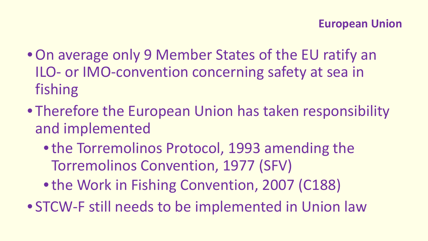- •On average only 9 Member States of the EU ratify an ILO- or IMO-convention concerning safety at sea in fishing
- Therefore the European Union has taken responsibility and implemented
	- •the Torremolinos Protocol, 1993 amending the Torremolinos Convention, 1977 (SFV)
	- the Work in Fishing Convention, 2007 (C188)
- STCW-F still needs to be implemented in Union law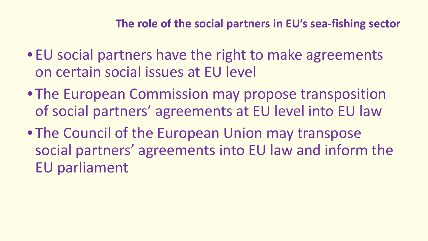- EU social partners have the right to make agreements on certain social issues at EU level
- The European Commission may propose transposition of social partners' agreements at EU level into EU law
- The Council of the European Union may transpose social partners' agreements into EU law and inform the EU parliament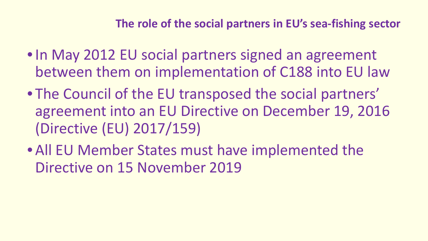- In May 2012 EU social partners signed an agreement between them on implementation of C188 into EU law
- The Council of the EU transposed the social partners' agreement into an EU Directive on December 19, 2016 (Directive (EU) 2017/159)
- All EU Member States must have implemented the Directive on 15 November 2019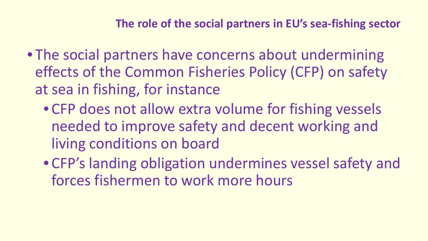- The social partners have concerns about undermining effects of the Common Fisheries Policy (CFP) on safety at sea in fishing, for instance
	- CFP does not allow extra volume for fishing vessels needed to improve safety and decent working and living conditions on board
	- CFP's landing obligation undermines vessel safety and forces fishermen to work more hours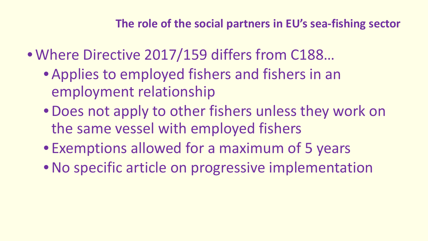- Where Directive 2017/159 differs from C188…
	- Applies to employed fishers and fishers in an employment relationship
	- •Does not apply to other fishers unless they work on the same vessel with employed fishers
	- Exemptions allowed for a maximum of 5 years
	- No specific article on progressive implementation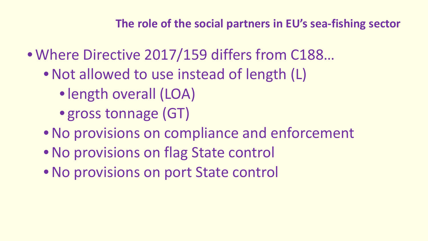- Where Directive 2017/159 differs from C188…
	- Not allowed to use instead of length (L)
		- •length overall (LOA)
		- gross tonnage (GT)
	- •No provisions on compliance and enforcement
	- •No provisions on flag State control
	- •No provisions on port State control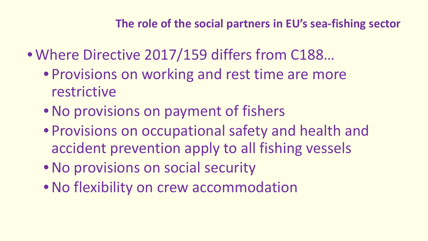- Where Directive 2017/159 differs from C188…
	- Provisions on working and rest time are more restrictive
	- No provisions on payment of fishers
	- Provisions on occupational safety and health and accident prevention apply to all fishing vessels
	- •No provisions on social security
	- •No flexibility on crew accommodation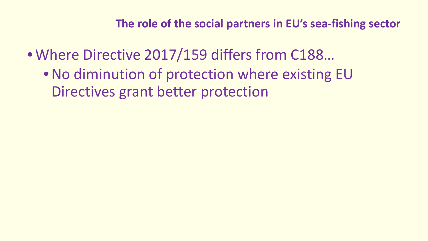- Where Directive 2017/159 differs from C188…
	- No diminution of protection where existing EU Directives grant better protection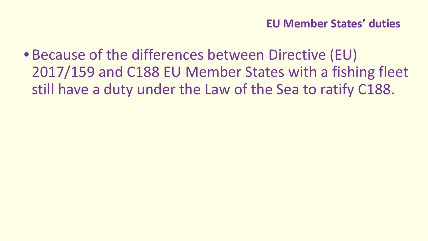• Because of the differences between Directive (EU) 2017/159 and C188 EU Member States with a fishing fleet still have a duty under the Law of the Sea to ratify C188.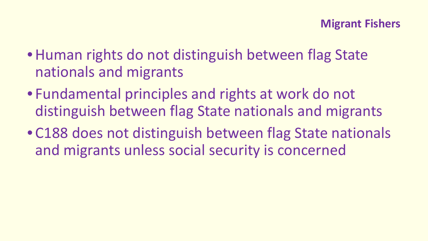- Human rights do not distinguish between flag State nationals and migrants
- Fundamental principles and rights at work do not distinguish between flag State nationals and migrants
- C188 does not distinguish between flag State nationals and migrants unless social security is concerned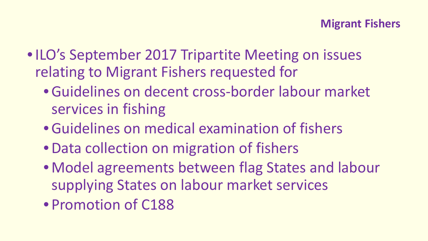- ILO's September 2017 Tripartite Meeting on issues relating to Migrant Fishers requested for
	- •Guidelines on decent cross-border labour market services in fishing
	- •Guidelines on medical examination of fishers
	- Data collection on migration of fishers
	- Model agreements between flag States and labour supplying States on labour market services
	- Promotion of C188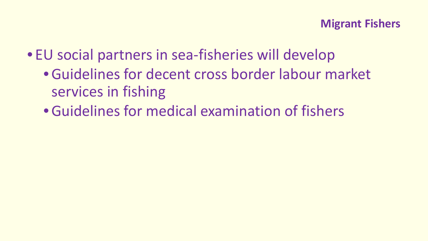- EU social partners in sea-fisheries will develop
	- •Guidelines for decent cross border labour market services in fishing
	- •Guidelines for medical examination of fishers